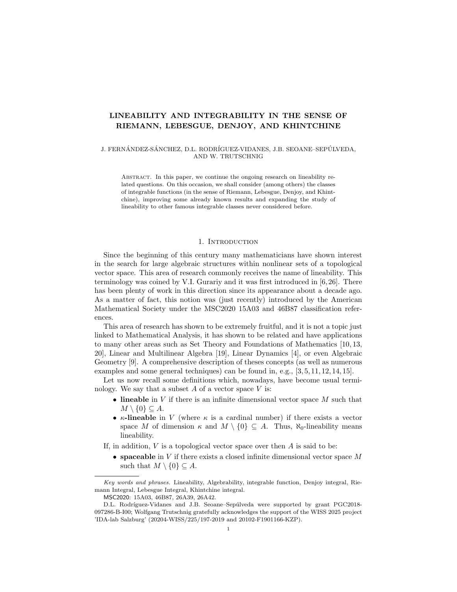# LINEABILITY AND INTEGRABILITY IN THE SENSE OF RIEMANN, LEBESGUE, DENJOY, AND KHINTCHINE

J. FERNÁNDEZ-SÁNCHEZ, D.L. RODRÍGUEZ-VIDANES, J.B. SEOANE–SEPÚLVEDA, AND W. TRUTSCHNIG

Abstract. In this paper, we continue the ongoing research on lineability related questions. On this occasion, we shall consider (among others) the classes of integrable functions (in the sense of Riemann, Lebesgue, Denjoy, and Khintchine), improving some already known results and expanding the study of lineability to other famous integrable classes never considered before.

### 1. INTRODUCTION

Since the beginning of this century many mathematicians have shown interest in the search for large algebraic structures within nonlinear sets of a topological vector space. This area of research commonly receives the name of lineability. This terminology was coined by V.I. Gurariy and it was first introduced in [6, 26]. There has been plenty of work in this direction since its appearance about a decade ago. As a matter of fact, this notion was (just recently) introduced by the American Mathematical Society under the MSC2020 15A03 and 46B87 classification references.

This area of research has shown to be extremely fruitful, and it is not a topic just linked to Mathematical Analysis, it has shown to be related and have applications to many other areas such as Set Theory and Foundations of Mathematics [10, 13, 20], Linear and Multilinear Algebra [19], Linear Dynamics [4], or even Algebraic Geometry [9]. A comprehensive description of theses concepts (as well as numerous examples and some general techniques) can be found in, e.g., [3, 5, 11, 12, 14, 15].

Let us now recall some definitions which, nowadays, have become usual terminology. We say that a subset  $A$  of a vector space  $V$  is:

- lineable in V if there is an infinite dimensional vector space  $M$  such that  $M \setminus \{0\} \subseteq A$ .
- $\kappa$ -lineable in V (where  $\kappa$  is a cardinal number) if there exists a vector space M of dimension  $\kappa$  and  $M \setminus \{0\} \subseteq A$ . Thus,  $\aleph_0$ -lineability means lineability.
- If, in addition,  $V$  is a topological vector space over then  $A$  is said to be:
	- spaceable in  $V$  if there exists a closed infinite dimensional vector space  $M$ such that  $M \setminus \{0\} \subseteq A$ .

Key words and phrases. Lineability, Algebrability, integrable function, Denjoy integral, Riemann Integral, Lebesgue Integral, Khintchine integral.

MSC2020: 15A03, 46B87, 26A39, 26A42.

D.L. Rodríguez-Vidanes and J.B. Seoane–Sepúlveda were supported by grant PGC2018-097286-B-I00; Wolfgang Trutschnig gratefully acknowledges the support of the WISS 2025 project 'IDA-lab Salzburg' (20204-WISS/225/197-2019 and 20102-F1901166-KZP).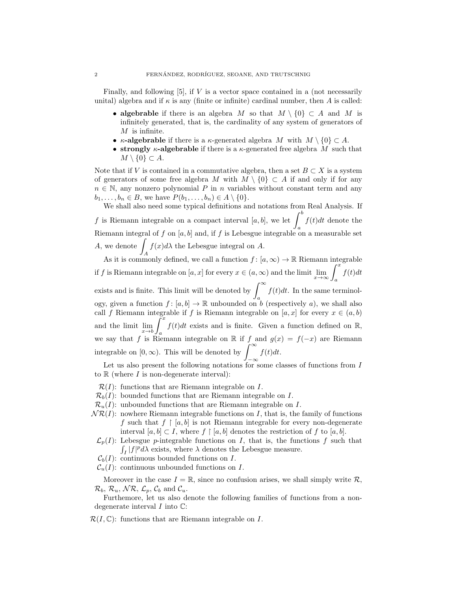Finally, and following  $[5]$ , if  $V$  is a vector space contained in a (not necessarily unital) algebra and if  $\kappa$  is any (finite or infinite) cardinal number, then A is called:

- algebrable if there is an algebra M so that  $M \setminus \{0\} \subset A$  and M is infinitely generated, that is, the cardinality of any system of generators of  $M$  is infinite.
- $\kappa$ -algebrable if there is a  $\kappa$ -generated algebra M with  $M \setminus \{0\} \subset A$ .
- strongly  $\kappa$ -algebrable if there is a  $\kappa$ -generated free algebra M such that  $M \setminus \{0\} \subset A$ .

Note that if V is contained in a commutative algebra, then a set  $B \subset X$  is a system of generators of some free algebra M with  $M \setminus \{0\} \subset A$  if and only if for any  $n \in \mathbb{N}$ , any nonzero polynomial P in n variables without constant term and any  $b_1, \ldots, b_n \in B$ , we have  $P(b_1, \ldots, b_n) \in A \setminus \{0\}.$ 

We shall also need some typical definitions and notations from Real Analysis. If f is Riemann integrable on a compact interval [a, b], we let  $\int^{b}$ a  $f(t)dt$  denote the Riemann integral of f on  $[a, b]$  and, if f is Lebesgue integrable on a measurable set A, we denote  $\int f(x)d\lambda$  the Lebesgue integral on A.

As it is commonly defined, we call a function  $f : [a, \infty) \to \mathbb{R}$  Riemann integrable if f is Riemann integrable on  $[a, x]$  for every  $x \in (a, \infty)$  and the limit  $\lim_{x \to \infty} \int_a^x$  $f(t)dt$ exists and is finite. This limit will be denoted by  $\int_{-\infty}^{\infty}$ a  $f(t)dt$ . In the same terminology, given a function  $f : [a, b] \to \mathbb{R}$  unbounded on b (respectively a), we shall also call f Riemann integrable if f is Riemann integrable on  $[a, x]$  for every  $x \in (a, b)$ and the limit  $\lim_{x\to b}$  $\int_0^x f(t)dt$  exists and is finite. Given a function defined on R, we say that f is Riemann integrable on R if f and  $g(x) = f(-x)$  are Riemann integrable on  $[0, \infty)$ . This will be denoted by  $\int_{-\infty}^{\infty}$ −∞  $f(t)dt$ .

Let us also present the following notations for some classes of functions from I to  $\mathbb R$  (where  $I$  is non-degenerate interval):

 $\mathcal{R}(I)$ : functions that are Riemann integrable on I.

- $\mathcal{R}_b(I)$ : bounded functions that are Riemann integrable on I.
- $\mathcal{R}_{u}(I)$ : unbounded functions that are Riemann integrable on I.
- $N\mathcal{R}(I)$ : nowhere Riemann integrable functions on I, that is, the family of functions f such that  $f \restriction [a, b]$  is not Riemann integrable for every non-degenerate interval  $[a, b] \subset I$ , where  $f \restriction [a, b]$  denotes the restriction of f to  $[a, b]$ .
- $\mathcal{L}_p(I)$ : Lebesgue p-integrable functions on I, that is, the functions f such that  $\int_I |f|^p d\lambda$  exists, where  $\lambda$  denotes the Lebesgue measure.
- $\mathcal{C}_b(I)$ : continuous bounded functions on I.

 $\mathcal{C}_u(I)$ : continuous unbounded functions on I.

Moreover in the case  $I = \mathbb{R}$ , since no confusion arises, we shall simply write  $\mathcal{R}$ ,  $\mathcal{R}_b$ ,  $\mathcal{R}_u$ ,  $\mathcal{NR}$ ,  $\mathcal{L}_p$ ,  $\mathcal{C}_b$  and  $\mathcal{C}_u$ .

Furthemore, let us also denote the following families of functions from a nondegenerate interval  $I$  into  $\mathbb{C}$ :

 $\mathcal{R}(I,\mathbb{C})$ : functions that are Riemann integrable on I.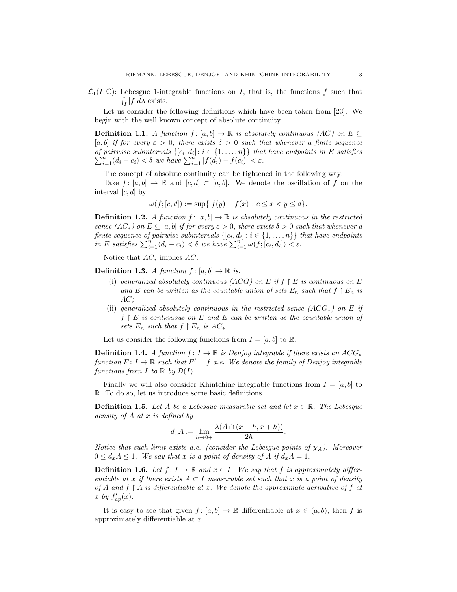$\mathcal{L}_1(I,\mathbb{C})$ : Lebesgue 1-integrable functions on I, that is, the functions f such that  $\int_I |f| d\lambda$  exists.

Let us consider the following definitions which have been taken from [23]. We begin with the well known concept of absolute continuity.

**Definition 1.1.** A function  $f : [a, b] \to \mathbb{R}$  is absolutely continuous (AC) on  $E \subseteq$ [a, b] if for every  $\varepsilon > 0$ , there exists  $\delta > 0$  such that whenever a finite sequence of pairwise subintervals  $\{[c_i, d_i] : i \in \{1, \ldots, n\}\}\$  that have endpoints in E satisfies  $\sum_{i=1}^{n} (d_i - c_i) < \delta$  we have  $\sum_{i=1}^{n} |f(d_i) - f(c_i)| < \varepsilon$ .

The concept of absolute continuity can be tightened in the following way:

Take  $f : [a, b] \to \mathbb{R}$  and  $[c, d] \subset [a, b]$ . We denote the oscillation of f on the interval  $[c, d]$  by

$$
\omega(f; [c, d]) := \sup\{|f(y) - f(x)| \colon c \le x < y \le d\}.
$$

**Definition 1.2.** A function  $f : [a, b] \to \mathbb{R}$  is absolutely continuous in the restricted sense  $(AC_*)$  on  $E \subseteq [a, b]$  if for every  $\varepsilon > 0$ , there exists  $\delta > 0$  such that whenever a finite sequence of pairwise subintervals  $\{[c_i, d_i] : i \in \{1, ..., n\}\}$  that have endpoints in E satisfies  $\sum_{i=1}^{n} (d_i - c_i) < \delta$  we have  $\sum_{i=1}^{n} \omega(f; [c_i, d_i]) < \varepsilon$ .

Notice that  $AC_*$  implies  $AC$ .

**Definition 1.3.** A function  $f: [a, b] \to \mathbb{R}$  is:

- (i) generalized absolutely continuous  $(ACG)$  on E if  $f \restriction E$  is continuous on E and E can be written as the countable union of sets  $E_n$  such that  $f \restriction E_n$  is  $AC$ :
- (ii) generalized absolutely continuous in the restricted sense  $(ACG_*)$  on E if  $f \restriction E$  is continuous on E and E can be written as the countable union of sets  $E_n$  such that  $f \restriction E_n$  is  $AC_*$ .

Let us consider the following functions from  $I = [a, b]$  to R.

**Definition 1.4.** A function  $f: I \to \mathbb{R}$  is Denjoy integrable if there exists an ACG<sup>\*</sup> function  $F: I \to \mathbb{R}$  such that  $F' = f$  a.e. We denote the family of Denjoy integrable functions from I to  $\mathbb R$  by  $\mathcal{D}(I)$ .

Finally we will also consider Khintchine integrable functions from  $I = [a, b]$  to R. To do so, let us introduce some basic definitions.

**Definition 1.5.** Let A be a Lebesgue measurable set and let  $x \in \mathbb{R}$ . The Lebesgue density of A at x is defined by

$$
d_x A := \lim_{h \to 0+} \frac{\lambda(A \cap (x - h, x + h))}{2h}.
$$

Notice that such limit exists a.e. (consider the Lebesgue points of  $\chi_A$ ). Moreover  $0 \leq d_x A \leq 1$ . We say that x is a point of density of A if  $d_x A = 1$ .

**Definition 1.6.** Let  $f: I \to \mathbb{R}$  and  $x \in I$ . We say that f is approximately differentiable at x if there exists  $A \subset I$  measurable set such that x is a point of density of A and  $f \restriction A$  is differentiable at x. We denote the approximate derivative of f at x by  $f_{ap}'(x)$ .

It is easy to see that given  $f : [a, b] \to \mathbb{R}$  differentiable at  $x \in (a, b)$ , then f is approximately differentiable at x.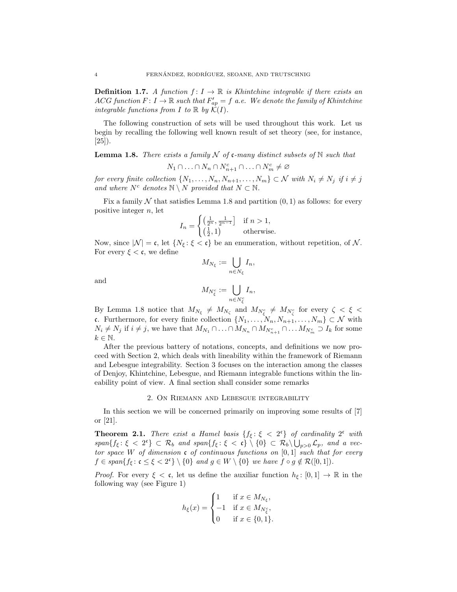**Definition 1.7.** A function  $f: I \to \mathbb{R}$  is Khintchine integrable if there exists an ACG function  $F: I \to \mathbb{R}$  such that  $F'_{ap} = f$  a.e. We denote the family of Khintchine integrable functions from I to  $\mathbb R$  by  $\mathcal K(I)$ .

The following construction of sets will be used throughout this work. Let us begin by recalling the following well known result of set theory (see, for instance, [25]).

**Lemma 1.8.** There exists a family  $N$  of c-many distinct subsets of  $N$  such that

 $N_1 \cap \ldots \cap N_n \cap N_{n+1}^c \cap \ldots \cap N_m^c \neq \varnothing$ 

for every finite collection  $\{N_1, \ldots, N_n, N_{n+1}, \ldots, N_m\} \subset \mathcal{N}$  with  $N_i \neq N_j$  if  $i \neq j$ and where  $N^c$  denotes  $\mathbb{N} \setminus N$  provided that  $N \subset \mathbb{N}$ .

Fix a family  $N$  that satisfies Lemma 1.8 and partition  $(0, 1)$  as follows: for every positive integer  $n$ , let

$$
I_n = \begin{cases} \left(\frac{1}{2^n}, \frac{1}{2^{n-1}}\right) & \text{if } n > 1, \\ \left(\frac{1}{2}, 1\right) & \text{otherwise.} \end{cases}
$$

Now, since  $|\mathcal{N}| = \mathfrak{c}$ , let  $\{N_{\xi} : \xi < \mathfrak{c}\}\)$  be an enumeration, without repetition, of N. For every  $\xi < \mathfrak{c}$ , we define

$$
M_{N_{\xi}} := \bigcup_{n \in N_{\xi}} I_n,
$$

and

$$
M_{N_{\xi}^c} := \bigcup_{n \in N_{\xi}^c} I_n,
$$

By Lemma 1.8 notice that  $M_{N_{\xi}} \neq M_{N_{\zeta}}$  and  $M_{N_{\xi}} \neq M_{N_{\zeta}}$  for every  $\zeta < \xi <$ c. Furthermore, for every finite collection  $\{N_1, \ldots, N_n, N_{n+1}, \ldots, N_m\} \subset \mathcal{N}$  with  $N_i \neq N_j$  if  $i \neq j$ , we have that  $M_{N_1} \cap \ldots \cap M_{N_n} \cap M_{N_{n+1}^c} \cap \ldots M_{N_m^c} \supset I_k$  for some  $k \in \mathbb{N}$ .

After the previous battery of notations, concepts, and definitions we now proceed with Section 2, which deals with lineability within the framework of Riemann and Lebesgue integrability. Section 3 focuses on the interaction among the classes of Denjoy, Khintchine, Lebesgue, and Riemann integrable functions within the lineability point of view. A final section shall consider some remarks

#### 2. On Riemann and Lebesgue integrability

In this section we will be concerned primarily on improving some results of [7] or [21].

**Theorem 2.1.** There exist a Hamel basis  $\{f_{\xi} : \xi < 2^{\epsilon}\}\$  of cardinality  $2^{\epsilon}$  with  $span\{f_{\xi}:\xi < 2^{\mathfrak{c}}\}\subset \mathcal{R}_b$  and  $span\{f_{\xi}:\xi < \mathfrak{c}\}\setminus\{0\}\subset \mathcal{R}_b\setminus\bigcup_{p>0}\mathcal{L}_p$ , and a vector space W of dimension c of continuous functions on  $[0, 1]$  such that for every  $f \in span\{f_{\xi} \colon \mathfrak{c} \leq \xi < 2^{\mathfrak{c}}\} \setminus \{0\}$  and  $g \in W \setminus \{0\}$  we have  $f \circ g \notin \mathcal{R}([0,1])$ .

*Proof.* For every  $\xi < \mathfrak{c}$ , let us define the auxiliar function  $h_{\xi} : [0,1] \to \mathbb{R}$  in the following way (see Figure 1)

$$
h_{\xi}(x) = \begin{cases} 1 & \text{if } x \in M_{N_{\xi}}, \\ -1 & \text{if } x \in M_{N_{\xi}^c}, \\ 0 & \text{if } x \in \{0,1\}. \end{cases}
$$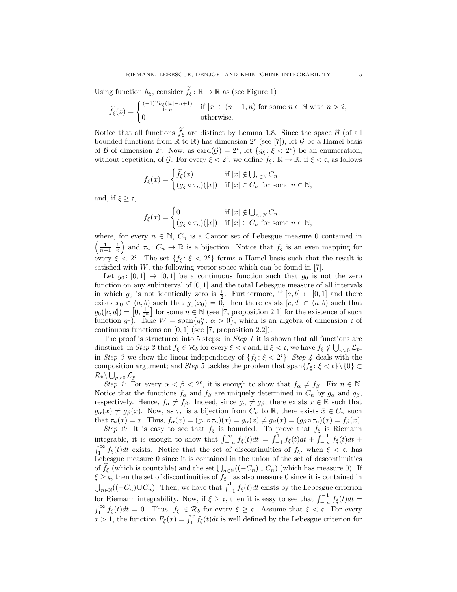Using function  $h_{\xi}$ , consider  $f_{\xi} : \mathbb{R} \to \mathbb{R}$  as (see Figure 1)

$$
\widetilde{f}_{\xi}(x) = \begin{cases}\n\frac{(-1)^n h_{\xi}(|x| - n + 1)}{\ln n} & \text{if } |x| \in (n - 1, n) \text{ for some } n \in \mathbb{N} \text{ with } n > 2, \\
0 & \text{otherwise.} \n\end{cases}
$$

Notice that all functions  $f_{\xi}$  are distinct by Lemma 1.8. Since the space  $\beta$  (of all bounded functions from  $\mathbb R$  to  $\mathbb R$ ) has dimension  $2^c$  (see [7]), let G be a Hamel basis of B of dimension  $2^c$ . Now, as card $(\mathcal{G}) = 2^c$ , let  $\{g_{\xi} : \xi < 2^c\}$  be an enumeration, without repetition, of G. For every  $\xi < 2^{\mathfrak{c}}$ , we define  $f_{\xi} : \mathbb{R} \to \mathbb{R}$ , if  $\xi < \mathfrak{c}$ , as follows

$$
f_{\xi}(x) = \begin{cases} \widetilde{f}_{\xi}(x) & \text{if } |x| \notin \bigcup_{n \in \mathbb{N}} C_n, \\ (g_{\xi} \circ \tau_n)(|x|) & \text{if } |x| \in C_n \text{ for some } n \in \mathbb{N}, \end{cases}
$$

and, if  $\xi \geq \mathfrak{c}$ ,

$$
f_{\xi}(x) = \begin{cases} 0 & \text{if } |x| \notin \bigcup_{n \in \mathbb{N}} C_n, \\ (g_{\xi} \circ \tau_n)(|x|) & \text{if } |x| \in C_n \text{ for some } n \in \mathbb{N}, \end{cases}
$$

where, for every  $n \in \mathbb{N}$ ,  $C_n$  is a Cantor set of Lebesgue measure 0 contained in  $\left(\frac{1}{n+1}, \frac{1}{n}\right)$  and  $\tau_n : C_n \to \mathbb{R}$  is a bijection. Notice that  $f_{\xi}$  is an even mapping for every  $\xi < 2^{\mathfrak{c}}$ . The set  $\{f_{\xi} : \xi < 2^{\mathfrak{c}}\}$  forms a Hamel basis such that the result is satisfied with  $W$ , the following vector space which can be found in [7].

Let  $g_0: [0,1] \rightarrow [0,1]$  be a continuous function such that  $g_0$  is not the zero function on any subinterval of  $[0, 1]$  and the total Lebesgue measure of all intervals in which  $g_0$  is not identically zero is  $\frac{1}{2}$ . Furthermore, if  $[a, b] \subset [0, 1]$  and there exists  $x_0 \in (a, b)$  such that  $g_0(x_0) = 0$ , then there exists  $[c, d] \subset (a, b)$  such that  $g_0([c, d]) = [0, \frac{1}{2^n}]$  for some  $n \in \mathbb{N}$  (see [7, proposition 2.1] for the existence of such function  $g_0$ ). Take  $W = \text{span}\{g_0^{\alpha} : \alpha > 0\}$ , which is an algebra of dimension c of continuous functions on [0, 1] (see [7, proposition 2.2]).

The proof is structured into 5 steps: in *Step 1* it is shown that all functions are dinstinct; in Step 2 that  $f_{\xi} \in \mathcal{R}_b$  for every  $\xi < \mathfrak{c}$  and, if  $\xi < \mathfrak{c}$ , we have  $f_{\xi} \notin \bigcup_{p>0} \mathcal{L}_p$ ; in Step 3 we show the linear independency of  $\{f_{\xi} : \xi < 2^{\epsilon}\}\$ ; Step 4 deals with the composition argument; and Step 5 tackles the problem that span $\{f_{\xi} : \xi < \mathfrak{c}\}\setminus\{0\} \subset$  $\mathcal{R}_b\backslash \bigcup_{p>0}\mathcal{L}_p.$ 

Step 1: For every  $\alpha < \beta < 2^{\mathfrak{c}}$ , it is enough to show that  $f_{\alpha} \neq f_{\beta}$ . Fix  $n \in \mathbb{N}$ . Notice that the functions  $f_{\alpha}$  and  $f_{\beta}$  are uniquely determined in  $C_n$  by  $g_{\alpha}$  and  $g_{\beta}$ , respectively. Hence,  $f_{\alpha} \neq f_{\beta}$ . Indeed, since  $g_{\alpha} \neq g_{\beta}$ , there exists  $x \in \mathbb{R}$  such that  $g_{\alpha}(x) \neq g_{\beta}(x)$ . Now, as  $\tau_n$  is a bijection from  $C_n$  to R, there exists  $\bar{x} \in C_n$  such that  $\tau_n(\bar{x}) = x$ . Thus,  $f_\alpha(\bar{x}) = (g_\alpha \circ \tau_n)(\bar{x}) = g_\alpha(x) \neq g_\beta(x) = (g_\beta \circ \tau_n)(\bar{x}) = f_\beta(\bar{x})$ .

Step 2: It is easy to see that  $f_{\xi}$  is bounded. To prove that  $f_{\xi}$  is Riemann integrable, it is enough to show that  $\int_{-\infty}^{\infty} f_{\xi}(t)dt = \int_{-1}^{1} f_{\xi}(t)dt + \int_{-\infty}^{-1} f_{\xi}(t)dt +$  $\int_1^{\infty} f_{\xi}(t)dt$  exists. Notice that the set of discontinuities of  $f_{\xi}$ , when  $\xi < \mathfrak{c}$ , has Lebesgue measure 0 since it is contained in the union of the set of descontinuities of  $f_{\xi}$  (which is countable) and the set  $\bigcup_{n\in\mathbb{N}}((-C_n)\cup C_n)$  (which has measure 0). If  $\xi \geq c$ , then the set of discontinuities of  $f_{\xi}$  has also measure 0 since it is contained in  $\bigcup_{n\in\mathbb{N}}((-C_n)\cup C_n)$ . Then, we have that  $\int_{-1}^1 f_{\xi}(t)dt$  exists by the Lebesgue criterion for Riemann integrability. Now, if  $\xi \geq \mathfrak{c}$ , then it is easy to see that  $\int_{-\infty}^{-1} f_{\xi}(t)dt =$  $\int_1^{\infty} f_{\xi}(t)dt = 0$ . Thus,  $f_{\xi} \in \mathcal{R}_b$  for every  $\xi \geq \mathfrak{c}$ . Assume that  $\xi < \mathfrak{c}$ . For every  $x > 1$ , the function  $F_{\xi}(x) = \int_1^x f_{\xi}(t)dt$  is well defined by the Lebesgue criterion for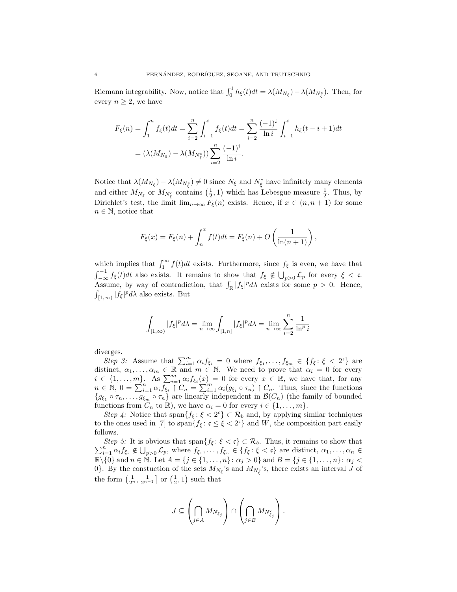Riemann integrability. Now, notice that  $\int_0^1 h_{\xi}(t)dt = \lambda(M_{N_{\xi}}) - \lambda(M_{N_{\xi}})$ . Then, for every  $n \geq 2$ , we have

$$
F_{\xi}(n) = \int_{1}^{n} f_{\xi}(t)dt = \sum_{i=2}^{n} \int_{i-1}^{i} f_{\xi}(t)dt = \sum_{i=2}^{n} \frac{(-1)^{i}}{\ln i} \int_{i-1}^{i} h_{\xi}(t-i+1)dt
$$

$$
= (\lambda(M_{N_{\xi}}) - \lambda(M_{N_{\xi}^{c}})) \sum_{i=2}^{n} \frac{(-1)^{i}}{\ln i}.
$$

Notice that  $\lambda(M_{N_{\xi}}) - \lambda(M_{N_{\xi}}) \neq 0$  since  $N_{\xi}$  and  $N_{\xi}^{c}$  have infinitely many elements and either  $M_{N_{\xi}}$  or  $M_{N_{\xi}}$  contains  $(\frac{1}{2},1)$  which has Lebesgue measure  $\frac{1}{2}$ . Thus, by Dirichlet's test, the limit  $\lim_{n\to\infty} F_{\xi}(n)$  exists. Hence, if  $x \in (n, n+1)$  for some  $n \in \mathbb{N}$ , notice that

$$
F_{\xi}(x) = F_{\xi}(n) + \int_{n}^{x} f(t)dt = F_{\xi}(n) + O\left(\frac{1}{\ln(n+1)}\right),
$$

which implies that  $\int_1^{\infty} f(t)dt$  exists. Furthermore, since  $f_{\xi}$  is even, we have that  $\int_{-\infty}^{-1} f_{\xi}(t) dt$  also exists. It remains to show that  $f_{\xi} \notin \bigcup_{p>0} \mathcal{L}_p$  for every  $\xi < \mathfrak{c}$ . Assume, by way of contradiction, that  $\int_{\mathbb{R}} |f_{\xi}|^p d\lambda$  exists for some  $p > 0$ . Hence,  $\int_{[1,\infty)} |f_{\xi}|^p d\lambda$  also exists. But

$$
\int_{[1,\infty)} |f_{\xi}|^p d\lambda = \lim_{n \to \infty} \int_{[1,n]} |f_{\xi}|^p d\lambda = \lim_{n \to \infty} \sum_{i=2}^n \frac{1}{\ln^p i}
$$

diverges.

Step 3: Assume that  $\sum_{i=1}^m \alpha_i f_{\xi_i} = 0$  where  $f_{\xi_1}, \ldots, f_{\xi_m} \in \{f_{\xi} : \xi < 2^{\mathfrak{c}}\}$  are distinct,  $\alpha_1, \ldots, \alpha_m \in \mathbb{R}$  and  $m \in \mathbb{N}$ . We need to prove that  $\alpha_i = 0$  for every  $i \in \{1, \ldots, m\}$ . As  $\sum_{i=1}^{m} \alpha_i f_{\xi_i}(x) = 0$  for every  $x \in \mathbb{R}$ , we have that, for any  $n \in \mathbb{N}, 0 = \sum_{i=1}^{n} \alpha_i \overline{f_{\xi_i}} \int_{0}^{n-1} C_n = \sum_{i=1}^{m} \alpha_i (g_{\xi_i} \circ \tau_n) \int_{0}^{n} C_n$ . Thus, since the functions  ${g_{\xi_1} \circ \tau_n, \ldots, g_{\xi_m} \circ \tau_n}$  are linearly independent in  $\mathcal{B}(C_n)$  (the family of bounded functions from  $C_n$  to  $\mathbb{R}$ ), we have  $\alpha_i = 0$  for every  $i \in \{1, ..., m\}$ .

Step 4: Notice that span $\{f_{\xi}: \xi < 2^{\mathfrak{c}}\} \subset \mathcal{R}_b$  and, by applying similar techniques to the ones used in [7] to span $\{f_{\xi}: \mathfrak{c} \leq \xi < 2^{\mathfrak{c}}\}$  and W, the composition part easily follows.

 $\sum_{i=1}^n \alpha_i f_{\xi_i} \notin \bigcup_{p>0} \mathcal{L}_p$ , where  $f_{\xi_1}, \ldots, f_{\xi_n} \in \{f_{\xi} : \xi < \mathfrak{c}\}\$ are distinct,  $\alpha_1, \ldots, \alpha_n \in$ Step 5: It is obvious that span $\{f_{\xi} : \xi < \mathfrak{c}\} \subset \mathcal{R}_b$ . Thus, it remains to show that  $\mathbb{R}\setminus\{0\}$  and  $n \in \mathbb{N}$ . Let  $A = \{j \in \{1, \ldots, n\} : \alpha_j > 0\}$  and  $B = \{j \in \{1, \ldots, n\} : \alpha_j < 0\}$ 0}. By the constuction of the sets  $M_{N_{\xi}}$ 's and  $M_{N_{\xi}}$ 's, there exists an interval J of the form  $\left(\frac{1}{2^n}, \frac{1}{2^{n-1}}\right]$  or  $\left(\frac{1}{2}, 1\right)$  such that

$$
J \subseteq \left(\bigcap_{j \in A} M_{N_{\xi_j}}\right) \cap \left(\bigcap_{j \in B} M_{N_{\xi_j}^c}\right).
$$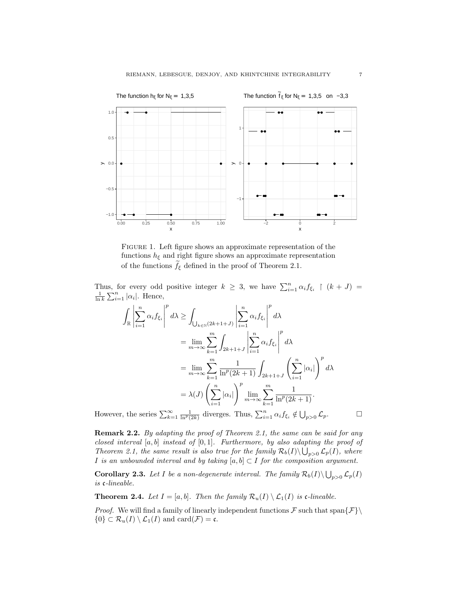

Figure 1. Left figure shows an approximate representation of the functions  $h_{\xi}$  and right figure shows an approximate representation of the functions  $\widetilde{f}_{\xi}$  defined in the proof of Theorem 2.1.

Thus, for every odd positive integer  $k \geq 3$ , we have  $\sum_{i=1}^{n} \alpha_i f_{\xi_i} \restriction (k+J) =$  $\frac{1}{\ln k} \sum_{i=1}^{n} |\alpha_i|$ . Hence,

$$
\int_{\mathbb{R}} \left| \sum_{i=1}^{n} \alpha_{i} f_{\xi_{i}} \right|^{p} d\lambda \ge \int_{\bigcup_{k \in \mathbb{N}} (2k+1+J)} \left| \sum_{i=1}^{n} \alpha_{i} f_{\xi_{i}} \right|^{p} d\lambda
$$
\n
$$
= \lim_{m \to \infty} \sum_{k=1}^{m} \int_{2k+1+J} \left| \sum_{i=1}^{n} \alpha_{i} f_{\xi_{i}} \right|^{p} d\lambda
$$
\n
$$
= \lim_{m \to \infty} \sum_{k=1}^{m} \frac{1}{\ln^{p}(2k+1)} \int_{2k+1+J} \left( \sum_{i=1}^{n} |\alpha_{i}| \right)^{p} d\lambda
$$
\n
$$
= \lambda(J) \left( \sum_{i=1}^{n} |\alpha_{i}| \right)^{p} \lim_{m \to \infty} \sum_{k=1}^{m} \frac{1}{\ln^{p}(2k+1)}.
$$
\nThe series  $\sum^{\infty} 1$ , diverges. Thus,  $\sum^{n} \alpha_{i} f_{i} d \mid d \leq f_{i} d \mid d \leq f_{i} d \mid d \leq f_{i} d \mid d \leq f_{i} d \mid d \leq f_{i} d \mid d \leq f_{i} d \mid d \leq f_{i} d \mid d \leq f_{i} d \mid d \leq f_{i} d \mid d \leq f_{i} d \mid d \leq f_{i} d \mid d \leq f_{i} d \mid d \leq f_{i} d \mid d \leq f_{i} d \mid d \leq f_{i} d \mid d \leq f_{i} d \mid d \leq f_{i} d \mid d \leq f_{i} d \mid d \leq f_{i} d \mid d \leq f_{i} d \mid d \leq f_{i} d \mid d \leq f_{i} d \mid d \leq f_{i} d \mid d \leq f_{i} d \mid d \leq f_{i} d \mid d \leq f_{i} d \mid d \leq f_{i} d \mid d \leq f_{i} d \mid d \leq f_{i} d \mid d \leq f_{i} d \mid d \leq f_{i} d \mid d \leq f_{i} d \mid d \leq f_{i} d \mid d \leq f_{i} d \mid d \leq f_{$ 

However, the series  $\sum_{k=1}^{\infty} \frac{1}{\ln^p(2k)}$  diverges. Thus,  $\sum_{i=1}^n \alpha_i f_{\xi_i} \notin \bigcup_{p>0} \mathcal{L}_p$ .

**Remark 2.2.** By adapting the proof of Theorem 2.1, the same can be said for any closed interval  $[a, b]$  instead of  $[0, 1]$ . Furthermore, by also adapting the proof of Theorem 2.1, the same result is also true for the family  $\mathcal{R}_b(I) \setminus \bigcup_{p>0} \mathcal{L}_p(I)$ , where I is an unbounded interval and by taking  $[a, b] \subset I$  for the composition argument.

**Corollary 2.3.** Let I be a non-degenerate interval. The family  $\mathcal{R}_b(I) \setminus \bigcup_{p>0} \mathcal{L}_p(I)$ is c-lineable.

**Theorem 2.4.** Let  $I = [a, b]$ . Then the family  $\mathcal{R}_u(I) \setminus \mathcal{L}_1(I)$  is c-lineable.

*Proof.* We will find a family of linearly independent functions  $\mathcal F$  such that span $\{\mathcal F\}$  $\{0\} \subset \mathcal{R}_u(I) \setminus \mathcal{L}_1(I)$  and  $\text{card}(\mathcal{F}) = \mathfrak{c}$ .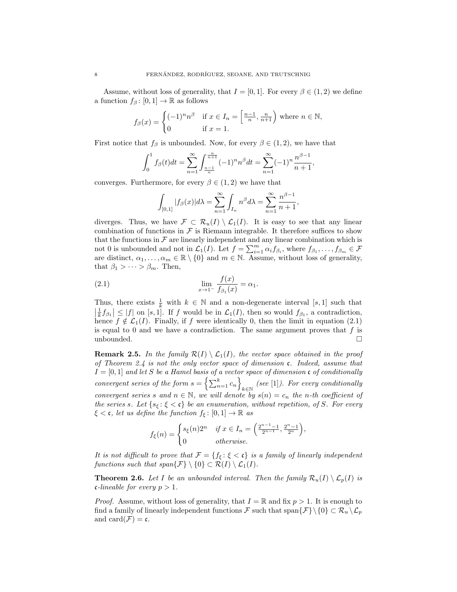Assume, without loss of generality, that  $I = [0, 1]$ . For every  $\beta \in (1, 2)$  we define a function  $f_\beta: [0, 1] \to \mathbb{R}$  as follows

$$
f_{\beta}(x) = \begin{cases} (-1)^n n^{\beta} & \text{if } x \in I_n = \left[\frac{n-1}{n}, \frac{n}{n+1}\right) \text{ where } n \in \mathbb{N}, \\ 0 & \text{if } x = 1. \end{cases}
$$

First notice that  $f_\beta$  is unbounded. Now, for every  $\beta \in (1, 2)$ , we have that

$$
\int_0^1 f_\beta(t)dt = \sum_{n=1}^\infty \int_{\frac{n-1}{n}}^{\frac{n}{n+1}} (-1)^n n^\beta dt = \sum_{n=1}^\infty (-1)^n \frac{n^{\beta-1}}{n+1},
$$

converges. Furthermore, for every  $\beta \in (1, 2)$  we have that

$$
\int_{[0,1]} |f_{\beta}(x)| d\lambda = \sum_{n=1}^{\infty} \int_{I_n} n^{\beta} d\lambda = \sum_{n=1}^{\infty} \frac{n^{\beta-1}}{n+1},
$$

diverges. Thus, we have  $\mathcal{F} \subset \mathcal{R}_u(I) \setminus \mathcal{L}_1(I)$ . It is easy to see that any linear combination of functions in  $\mathcal F$  is Riemann integrable. It therefore suffices to show that the functions in  $\mathcal F$  are linearly independent and any linear combination which is not 0 is unbounded and not in  $\mathcal{L}_1(I)$ . Let  $f = \sum_{i=1}^m \alpha_i f_{\beta_i}$ , where  $f_{\beta_1}, \ldots, f_{\beta_m} \in \mathcal{F}$ are distinct,  $\alpha_1, \ldots, \alpha_m \in \mathbb{R} \setminus \{0\}$  and  $m \in \mathbb{N}$ . Assume, without loss of generality, that  $\beta_1 > \cdots > \beta_m$ . Then,

(2.1) 
$$
\lim_{x \to 1^{-}} \frac{f(x)}{f_{\beta_1}(x)} = \alpha_1.
$$

Thus, there exists  $\frac{1}{k}$  with  $k \in \mathbb{N}$  and a non-degenerate interval [s, 1] such that  $\left|\frac{1}{k}f_{\beta_1}\right| \leq |f|$  on  $[s, 1]$ . If f would be in  $\mathcal{L}_1(I)$ , then so would  $f_{\beta_1}$ , a contradiction, hence  $f \notin \mathcal{L}_1(I)$ . Finally, if f were identically 0, then the limit in equation (2.1) is equal to 0 and we have a contradiction. The same argument proves that  $f$  is unbounded.  $\square$ 

**Remark 2.5.** In the family  $\mathcal{R}(I) \setminus \mathcal{L}_1(I)$ , the vector space obtained in the proof of Theorem 2.4 is not the only vector space of dimension c. Indeed, assume that  $I = [0, 1]$  and let S be a Hamel basis of a vector space of dimension c of conditionally convergent series of the form  $s = \left\{ \sum_{n=1}^{k} c_n \right\}$  $\mathcal{C}_{k\in\mathbb{N}}$  (see [1]). For every conditionally convergent series s and  $n \in \mathbb{N}$ , we will denote by  $s(n) = c_n$  the n-th coefficient of the series s. Let  $\{s_{\xi} : \xi < \mathfrak{c}\}\)$  be an enumeration, without repetition, of S. For every  $\xi < \mathfrak{c}$ , let us define the function  $f_{\xi} : [0,1] \to \mathbb{R}$  as

$$
f_{\xi}(n) = \begin{cases} s_{\xi}(n)2^n & \text{if } x \in I_n = \left(\frac{2^{n-1}-1}{2^{n-1}}, \frac{2^n-1}{2^n}\right), \\ 0 & \text{otherwise.} \end{cases}
$$

It is not difficult to prove that  $\mathcal{F} = \{f_{\xi} : \xi < \mathfrak{c}\}\$ is a family of linearly independent functions such that span $\{\mathcal{F}\}\setminus\{0\} \subset \mathcal{R}(I) \setminus \mathcal{L}_1(I)$ .

**Theorem 2.6.** Let I be an unbounded interval. Then the family  $\mathcal{R}_u(I) \setminus \mathcal{L}_v(I)$  is c-lineable for every  $p > 1$ .

*Proof.* Assume, without loss of generality, that  $I = \mathbb{R}$  and fix  $p > 1$ . It is enough to find a family of linearly independent functions F such that span $\{\mathcal{F}\}\setminus\{0\} \subset \mathcal{R}_u \setminus \mathcal{L}_p$ and card $(\mathcal{F}) = \mathfrak{c}$ .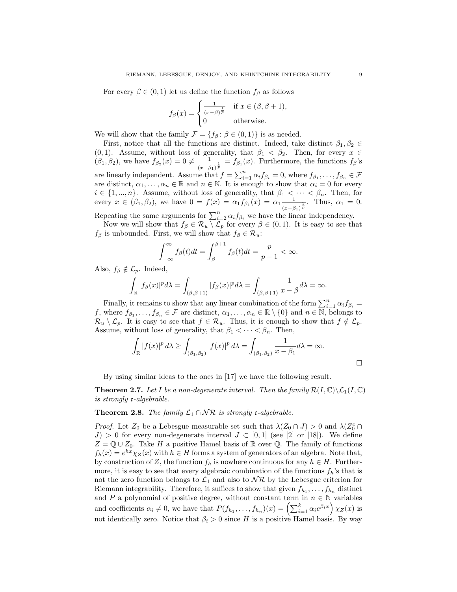For every  $\beta \in (0,1)$  let us define the function  $f_{\beta}$  as follows

$$
f_{\beta}(x) = \begin{cases} \frac{1}{(x-\beta)^{\frac{1}{p}}} & \text{if } x \in (\beta, \beta+1), \\ 0 & \text{otherwise.} \end{cases}
$$

We will show that the family  $\mathcal{F} = \{f_\beta : \beta \in (0,1)\}\$ is as needed.

First, notice that all the functions are distinct. Indeed, take distinct  $\beta_1, \beta_2 \in$ (0, 1). Assume, without loss of generality, that  $\beta_1 < \beta_2$ . Then, for every  $x \in$  $(\beta_1, \beta_2)$ , we have  $f_{\beta_2}(x) = 0 \neq \frac{1}{\alpha_2}$  $\frac{1}{(x-\beta_1)^{\frac{1}{p}}} = f_{\beta_1}(x)$ . Furthermore, the functions  $f_{\beta}$ 's are linearly independent. Assume that  $f = \sum_{i=1}^{n} \alpha_i f_{\beta_i} = 0$ , where  $f_{\beta_1}, \ldots, f_{\beta_n} \in \mathcal{F}$ are distinct,  $\alpha_1, \ldots, \alpha_n \in \mathbb{R}$  and  $n \in \mathbb{N}$ . It is enough to show that  $\alpha_i = 0$  for every  $i \in \{1, ..., n\}$ . Assume, without loss of generality, that  $\beta_1 < \cdots < \beta_n$ . Then, for every  $x \in (\beta_1, \beta_2)$ , we have  $0 = f(x) = \alpha_1 f_{\beta_1}(x) = \alpha_1 \frac{1}{\alpha_1}$  $\frac{1}{(x-\beta_1)^{\frac{1}{p}}}$ . Thus,  $\alpha_1 = 0$ .

Repeating the same arguments for  $\sum_{i=2}^{n} \alpha_i f_{\beta_i}$  we have the linear independency.

Now we will show that  $f_{\beta} \in \mathcal{R}_u \setminus \mathcal{L}_p$  for every  $\beta \in (0,1)$ . It is easy to see that  $f_\beta$  is unbounded. First, we will show that  $f_\beta \in \mathcal{R}_u$ :

$$
\int_{-\infty}^{\infty} f_{\beta}(t)dt = \int_{\beta}^{\beta+1} f_{\beta}(t)dt = \frac{p}{p-1} < \infty.
$$

Also,  $f_{\beta} \notin \mathcal{L}_p$ . Indeed,

 $\cdot$ 

$$
\int_{\mathbb{R}} |f_{\beta}(x)|^{p} d\lambda = \int_{(\beta,\beta+1)} |f_{\beta}(x)|^{p} d\lambda = \int_{(\beta,\beta+1)} \frac{1}{x-\beta} d\lambda = \infty.
$$

Finally, it remains to show that any linear combination of the form  $\sum_{i=1}^{n} \alpha_i f_{\beta_i} =$ f, where  $f_{\beta_1},\ldots,f_{\beta_n}\in\mathcal{F}$  are distinct,  $\alpha_1,\ldots,\alpha_n\in\mathbb{R}\setminus\{0\}$  and  $n\in\overline{\mathbb{N}},$  belongs to  $\mathcal{R}_u \setminus \mathcal{L}_p$ . It is easy to see that  $f \in \mathcal{R}_u$ . Thus, it is enough to show that  $f \notin \mathcal{L}_p$ . Assume, without loss of generality, that  $\beta_1 < \cdots < \beta_n$ . Then,

$$
\int_{\mathbb{R}} |f(x)|^p d\lambda \ge \int_{(\beta_1,\beta_2)} |f(x)|^p d\lambda = \int_{(\beta_1,\beta_2)} \frac{1}{x - \beta_1} d\lambda = \infty.
$$

By using similar ideas to the ones in [17] we have the following result.

**Theorem 2.7.** Let I be a non-degenerate interval. Then the family  $\mathcal{R}(I,\mathbb{C})\backslash\mathcal{L}_1(I,\mathbb{C})$ is strongly c-algebrable.

## **Theorem 2.8.** The family  $\mathcal{L}_1 \cap \mathcal{NR}$  is strongly c-algebrable.

*Proof.* Let  $Z_0$  be a Lebesgue measurable set such that  $\lambda(Z_0 \cap J) > 0$  and  $\lambda(Z_0^c \cap J)$  $J > 0$  for every non-degenerate interval  $J \subset [0,1]$  (see [2] or [18]). We define  $Z = \mathbb{Q} \cup Z_0$ . Take H a positive Hamel basis of R over  $\mathbb{Q}$ . The family of functions  $f_h(x) = e^{hx} \chi_Z(x)$  with  $h \in H$  forms a system of generators of an algebra. Note that, by construction of Z, the function  $f_h$  is nowhere continuous for any  $h \in H$ . Furthermore, it is easy to see that every algebraic combination of the functions  $f_h$ 's that is not the zero function belongs to  $\mathcal{L}_1$  and also to  $\mathcal{NR}$  by the Lebesgue criterion for Riemann integrability. Therefore, it suffices to show that given  $f_{h_1}, \ldots, f_{h_n}$  distinct and P a polynomial of positive degree, without constant term in  $n \in \mathbb{N}$  variables and coefficients  $\alpha_i \neq 0$ , we have that  $P(f_{h_1}, \ldots, f_{h_n})(x) = \left(\sum_{i=1}^k \alpha_i e^{\beta_i x}\right) \chi_Z(x)$  is not identically zero. Notice that  $\beta_i > 0$  since H is a positive Hamel basis. By way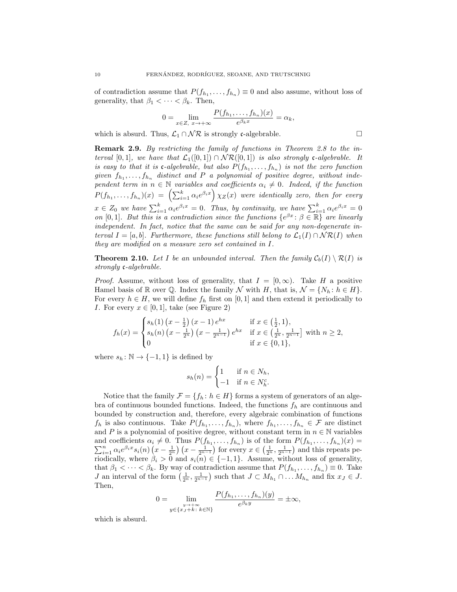of contradiction assume that  $P(f_{h_1},..., f_{h_n}) \equiv 0$  and also assume, without loss of generality, that  $\beta_1 < \cdots < \beta_k$ . Then,

$$
0 = \lim_{x \in Z, x \to +\infty} \frac{P(f_{h_1}, \dots, f_{h_n})(x)}{e^{\beta_k x}} = \alpha_k,
$$

which is absurd. Thus,  $\mathcal{L}_1 \cap \mathcal{NR}$  is strongly c-algebrable.

Remark 2.9. By restricting the family of functions in Theorem 2.8 to the interval [0, 1], we have that  $\mathcal{L}_1([0,1]) \cap \mathcal{NR}([0,1])$  is also strongly c-algebrable. It is easy to that it is c-algebrable, but also  $P(f_{h_1},...,f_{h_n})$  is not the zero function given  $f_{h_1}, \ldots, f_{h_n}$  distinct and P a polynomial of positive degree, without independent term in  $n \in \mathbb{N}$  variables and coefficients  $\alpha_i \neq 0$ . Indeed, if the function  $P(f_{h_1},...,f_{h_n})(x) = \left(\sum_{i=1}^k \alpha_i e^{\beta_i x}\right) \chi_Z(x)$  were identically zero, then for every  $x \in Z_0$  we have  $\sum_{i=1}^k \alpha_i e^{\beta_i x} = 0$ . Thus, by continuity, we have  $\sum_{i=1}^k \alpha_i e^{\beta_i x} = 0$ on [0, 1]. But this is a contradiction since the functions  $\{e^{\beta x} : \beta \in \mathbb{R}\}\$  are linearly independent. In fact, notice that the same can be said for any non-degenerate interval  $I = [a, b]$ . Furthermore, these functions still belong to  $\mathcal{L}_1(I) \cap \mathcal{NR}(I)$  when they are modified on a measure zero set contained in I.

**Theorem 2.10.** Let I be an unbounded interval. Then the family  $C_b(I) \setminus \mathcal{R}(I)$  is strongly c-algebrable.

*Proof.* Assume, without loss of generality, that  $I = [0, \infty)$ . Take H a positive Hamel basis of R over  $\mathbb{O}$ . Index the family N with H, that is,  $\mathcal{N} = \{N_h : h \in H\}$ . For every  $h \in H$ , we will define  $f_h$  first on [0, 1] and then extend it periodically to I. For every  $x \in [0, 1]$ , take (see Figure 2)

$$
f_h(x) = \begin{cases} s_h(1) \left(x - \frac{1}{2}\right)(x - 1) e^{hx} & \text{if } x \in \left(\frac{1}{2}, 1\right), \\ s_h(n) \left(x - \frac{1}{2^n}\right) \left(x - \frac{1}{2^{n-1}}\right) e^{hx} & \text{if } x \in \left(\frac{1}{2^n}, \frac{1}{2^{n-1}}\right] \text{ with } n \ge 2, \\ 0 & \text{if } x \in \{0, 1\}, \end{cases}
$$

where  $s_h : \mathbb{N} \to \{-1,1\}$  is defined by

$$
s_h(n) = \begin{cases} 1 & \text{if } n \in N_h, \\ -1 & \text{if } n \in N_h^c. \end{cases}
$$

Notice that the family  $\mathcal{F} = \{f_h : h \in H\}$  forms a system of generators of an algebra of continuous bounded functions. Indeed, the functions  $f_h$  are continuous and bounded by construction and, therefore, every algebraic combination of functions  $f_h$  is also continuous. Take  $P(f_{h_1},...,f_{h_n})$ , where  $f_{h_1},...,f_{h_n} \in \mathcal{F}$  are distinct and P is a polynomial of positive degree, without constant term in  $n \in \mathbb{N}$  variables and coefficients  $\alpha_i \neq 0$ . Thus  $P(f_{h_1},...,f_{h_n})$  is of the form  $P(f_{h_1},...,f_{h_n})$  $\sum$ d coefficients  $\alpha_i \neq 0$ . Thus  $P(f_{h_1},...,f_{h_n})$  is of the form  $P(f_{h_1},...,f_{h_n})(x) =$ <br>  $\sum_{i=1}^n \alpha_i e^{\beta_i x} s_i(n) (x - \frac{1}{2^n}) (x - \frac{1}{2^{n-1}})$  for every  $x \in (\frac{1}{2^n}, \frac{1}{2^{n-1}})$  and this repeats periodically, where  $\hat{\beta}_i > 0$  and  $s_i(n) \in \{-1,1\}$ . Assume, without loss of generality, that  $\beta_1 < \cdots < \beta_k$ . By way of contradiction assume that  $P(f_{h_1}, \ldots, f_{h_n}) \equiv 0$ . Take *J* an interval of the form  $\left(\frac{1}{2^n}, \frac{1}{2^{n-1}}\right)$  such that  $J \subset M_{h_1} \cap \ldots M_{h_n}$  and fix  $x_J \in J$ . Then,  $\mathcal{C}$  ) (y)

$$
0 = \lim_{\substack{y \to +\infty \\ y \in \{x_J + k : k \in \mathbb{N}\}}} \frac{P(f_{h_1}, \dots, f_{h_n})(y)}{e^{\beta_k y}} = \pm \infty,
$$

which is absurd.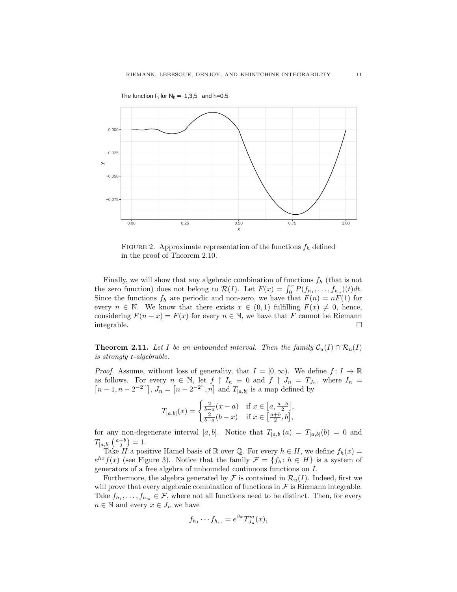

FIGURE 2. Approximate representation of the functions  $f_h$  defined in the proof of Theorem 2.10.

Finally, we will show that any algebraic combination of functions  $f<sub>h</sub>$  (that is not the zero function) does not belong to  $\mathcal{R}(I)$ . Let  $F(x) = \int_0^x P(f_{h_1}, \ldots, f_{h_n})(t)dt$ . Since the functions  $f_h$  are periodic and non-zero, we have that  $F(n) = nF(1)$  for every  $n \in \mathbb{N}$ . We know that there exists  $x \in (0,1)$  fulfilling  $F(x) \neq 0$ , hence, considering  $F(n + x) = F(x)$  for every  $n \in \mathbb{N}$ , we have that F cannot be Riemann integrable.

**Theorem 2.11.** Let I be an unbounded interval. Then the family  $C_u(I) \cap \mathcal{R}_u(I)$ is strongly c-algebrable.

*Proof.* Assume, without loss of generality, that  $I = [0, \infty)$ . We define  $f: I \to \mathbb{R}$ as follows. For every  $n \in \mathbb{N}$ , let  $f \restriction I_n = 0$  and  $f \restriction J_n = T_{J_n}$ , where  $I_n =$  $[n-1, n-2^{-2^n}], J_n = [n-2^{-2^n}, n]$  and  $T_{[a,b]}$  is a map defined by

$$
T_{[a,b]}(x) = \begin{cases} \frac{2}{b-a}(x-a) & \text{if } x \in \left[a, \frac{a+b}{2}\right], \\ \frac{2}{b-a}(b-x) & \text{if } x \in \left[\frac{a+b}{2}, b\right], \end{cases}
$$

for any non-degenerate interval [a, b]. Notice that  $T_{[a,b]}(a) = T_{[a,b]}(b) = 0$  and  $T_{[a,b]}\left(\frac{a+b}{2}\right) = 1.$ 

Take H a positive Hamel basis of R over Q. For every  $h \in H$ , we define  $f_h(x) =$  $e^{hx}f(x)$  (see Figure 3). Notice that the family  $\mathcal{F} = \{f_h: h \in H\}$  is a system of generators of a free algebra of unbounded continuous functions on I.

Furthermore, the algebra generated by  $\mathcal F$  is contained in  $\mathcal R_u(I)$ . Indeed, first we will prove that every algebraic combination of functions in  $\mathcal F$  is Riemann integrable. Take  $f_{h_1}, \ldots, f_{h_m} \in \mathcal{F}$ , where not all functions need to be distinct. Then, for every  $n \in \mathbb{N}$  and every  $x \in J_n$  we have

$$
f_{h_1}\cdots f_{h_m}=e^{\beta x}T_{J_n}^m(x),
$$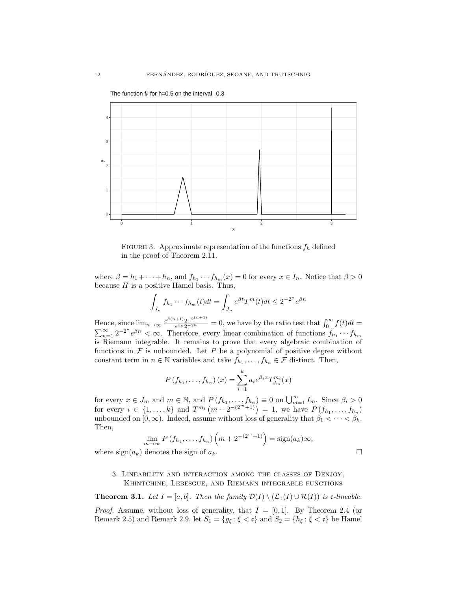

FIGURE 3. Approximate representation of the functions  $f_h$  defined in the proof of Theorem 2.11.

where  $\beta = h_1 + \cdots + h_n$ , and  $f_{h_1} \cdots f_{h_m}(x) = 0$  for every  $x \in I_n$ . Notice that  $\beta > 0$ because  $H$  is a positive Hamel basis. Thus,

$$
\int_{J_n} f_{h_1} \cdots f_{h_m}(t) dt = \int_{J_n} e^{\beta t} T^m(t) dt \le 2^{-2^n} e^{\beta n}
$$

Hence, since  $\lim_{n\to\infty} \frac{e^{\beta(n+1)}2^{-2^{(n+1)}}}{e^{\beta n}2^{-2^n}}$  $\frac{e^{(k+1)}2^{-2^{(k+1)}}}{e^{\beta n}2^{-2^n}} = 0$ , we have by the ratio test that  $\int_0^\infty f(t)dt =$  $\sum_{n=1}^{\infty} 2^{-2^n} e^{\beta n} < \infty$ . Therefore, every linear combination of functions  $f_{h_1} \cdots f_{h_m}$ is Riemann integrable. It remains to prove that every algebraic combination of functions in  $\mathcal F$  is unbounded. Let  $P$  be a polynomial of positive degree without constant term in  $n \in \mathbb{N}$  variables and take  $f_{h_1}, \ldots, f_{h_n} \in \mathcal{F}$  distinct. Then,

$$
P(f_{h_1},...,f_{h_n})(x) = \sum_{i=1}^k a_i e^{\beta_i x} T_{J_m}^{m_i}(x)
$$

for every  $x \in J_m$  and  $m \in \mathbb{N}$ , and  $P(f_{h_1},...,f_{h_n}) \equiv 0$  on  $\bigcup_{m=1}^{\infty} I_m$ . Since  $\beta_i > 0$ for every  $i \in \{1, ..., k\}$  and  $T^{m_i}(m + 2^{-(2^m+1)}) = 1$ , we have  $P(f_{h_1}, ..., f_{h_n})$ unbounded on [0, ∞). Indeed, assume without loss of generality that  $\beta_1 < \cdots < \beta_k$ . Then,

$$
\lim_{m\to\infty} P(f_{h_1},\ldots,f_{h_n})\left(m+2^{-(2^m+1)}\right)=\text{sign}(a_k)\infty,
$$

where  $sign(a_k)$  denotes the sign of  $a_k$ .

## 3. Lineability and interaction among the classes of Denjoy, Khintchine, Lebesgue, and Riemann integrable functions

**Theorem 3.1.** Let  $I = [a, b]$ . Then the family  $\mathcal{D}(I) \setminus (\mathcal{L}_1(I) \cup \mathcal{R}(I))$  is c-lineable.

*Proof.* Assume, without loss of generality, that  $I = [0, 1]$ . By Theorem 2.4 (or Remark 2.5) and Remark 2.9, let  $S_1 = \{g_{\xi} : \xi < \mathfrak{c}\}\$ and  $S_2 = \{h_{\xi} : \xi < \mathfrak{c}\}\$ be Hamel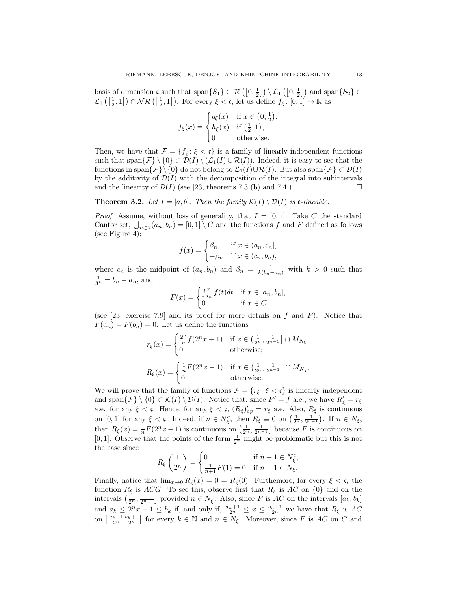basis of dimension  $\mathfrak{c}$  such that  $\text{span}\{S_1\} \subset \mathcal{R}\left(\left[0, \frac{1}{2}\right]\right) \setminus \mathcal{L}_1\left(\left[0, \frac{1}{2}\right]\right)$  and  $\text{span}\{S_2\} \subset$  $\mathcal{L}_1\left(\left[\frac{1}{2},1\right]\right) \cap \mathcal{NR}\left(\left[\frac{1}{2},1\right]\right)$ . For every  $\xi < \mathfrak{c}$ , let us define  $f_{\xi} : [0,1] \to \mathbb{R}$  as

$$
f_{\xi}(x) = \begin{cases} g_{\xi}(x) & \text{if } x \in \left(0, \frac{1}{2}\right) \\ h_{\xi}(x) & \text{if } \left(\frac{1}{2}, 1\right), \\ 0 & \text{otherwise.} \end{cases}
$$

,

Then, we have that  $\mathcal{F} = \{f_{\xi} : \xi < \mathfrak{c}\}\$ is a family of linearly independent functions such that span $\{\mathcal{F}\}\setminus\{0\} \subset \mathcal{D}(I) \setminus (\mathcal{L}_1(I) \cup \mathcal{R}(I)).$  Indeed, it is easy to see that the functions in span $\{\mathcal{F}\}\backslash\{0\}$  do not belong to  $\mathcal{L}_1(I)\cup\mathcal{R}(I)$ . But also span $\{\mathcal{F}\}\subset\mathcal{D}(I)$ by the additivity of  $\mathcal{D}(I)$  with the decomposition of the integral into subintervals and the linearity of  $\mathcal{D}(I)$  (see [23, theorems 7.3 (b) and 7.4]).

**Theorem 3.2.** Let  $I = [a, b]$ . Then the family  $\mathcal{K}(I) \setminus \mathcal{D}(I)$  is c-lineable.

*Proof.* Assume, without loss of generality, that  $I = [0, 1]$ . Take C the standard Cantor set,  $\bigcup_{n\in\mathbb{N}}(a_n, b_n) = [0, 1] \setminus C$  and the functions f and F defined as follows (see Figure 4):

$$
f(x) = \begin{cases} \beta_n & \text{if } x \in (a_n, c_n], \\ -\beta_n & \text{if } x \in (c_n, b_n), \end{cases}
$$

where  $c_n$  is the midpoint of  $(a_n, b_n)$  and  $\beta_n = \frac{1}{k(b_n - a_n)}$  with  $k > 0$  such that  $\frac{1}{3^k} = b_n - a_n$ , and

$$
F(x) = \begin{cases} \int_{a_n}^{x} f(t)dt & \text{if } x \in [a_n, b_n], \\ 0 & \text{if } x \in C, \end{cases}
$$

(see [23, exercise 7.9] and its proof for more details on f and F). Notice that  $F(a_n) = F(b_n) = 0$ . Let us define the functions

$$
r_{\xi}(x) = \begin{cases} \frac{2^n}{n} f(2^n x - 1) & \text{if } x \in \left(\frac{1}{2^n}, \frac{1}{2^{n-1}}\right] \cap M_{N_{\xi}}, \\ 0 & \text{otherwise}; \end{cases}
$$
  

$$
R_{\xi}(x) = \begin{cases} \frac{1}{n} F(2^n x - 1) & \text{if } x \in \left(\frac{1}{2^n}, \frac{1}{2^{n-1}}\right] \cap M_{N_{\xi}}, \\ 0 & \text{otherwise}. \end{cases}
$$

We will prove that the family of functions  $\mathcal{F}=\{r_\xi\colon \xi<\mathfrak{c}\}$  is linearly independent and span $\{\mathcal{F}\}\setminus\{0\}\subset\mathcal{K}(I)\setminus\mathcal{D}(I)$ . Notice that, since  $F'=f$  a.e., we have  $R'_\xi=r_\xi$ a.e. for any  $\xi < \mathfrak{c}$ . Hence, for any  $\xi < \mathfrak{c}$ ,  $(R_{\xi})'_{ap} = r_{\xi}$  a.e. Also,  $R_{\xi}$  is continuous on  $[0,1]$  for any  $\xi < \mathfrak{c}$ . Indeed, if  $n \in N_{\xi}^c$ , then  $R_{\xi} \equiv 0$  on  $\left(\frac{1}{2^n}, \frac{1}{2^{n-1}}\right)$ . If  $n \in N_{\xi}$ , then  $R_{\xi}(x) = \frac{1}{n} F(2^n x - 1)$  is continuous on  $\left(\frac{1}{2^n}, \frac{1}{2^{n-1}}\right]$  because F is continuous on [0, 1]. Observe that the points of the form  $\frac{1}{2^n}$  might be problematic but this is not the case since

$$
R_\xi\left(\frac{1}{2^n}\right)=\begin{cases}0&\text{if }n+1\in N_\xi^c,\\ \frac{1}{n+1}F(1)=0&\text{if }n+1\in N_\xi.\end{cases}
$$

Finally, notice that  $\lim_{x\to 0} R_{\xi}(x) = 0 = R_{\xi}(0)$ . Furthemore, for every  $\xi < \mathfrak{c}$ , the function  $R_{\xi}$  is ACG. To see this, observe first that  $R_{\xi}$  is AC on  $\{0\}$  and on the intervals  $\left(\frac{1}{2^n}, \frac{1}{2^{n-1}}\right]$  provided  $n \in N_{\xi}^c$ . Also, since F is AC on the intervals  $[a_k, b_k]$ and  $a_k \leq 2^n x - 1 \leq b_k$  if, and only if,  $\frac{a_n+1}{2^n} \leq x \leq \frac{b_n+1}{2^n}$  we have that  $R_\xi$  is  $AC$ on  $\left[\frac{a_k+1}{2^n}\frac{b_k+1}{2^n}\right]$  for every  $k \in \mathbb{N}$  and  $n \in N_{\xi}$ . Moreover, since F is AC on C and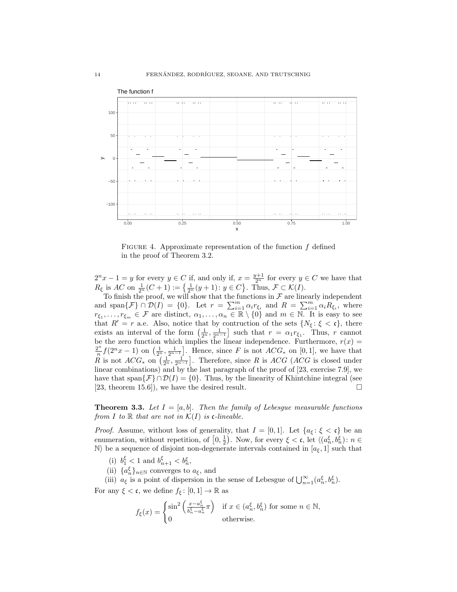

FIGURE 4. Approximate representation of the function  $f$  defined in the proof of Theorem 3.2.

 $2^{n}x - 1 = y$  for every  $y \in C$  if, and only if,  $x = \frac{y+1}{2^{n}}$  for every  $y \in C$  we have that  $R_{\xi}$  is  $AC$  on  $\frac{1}{2^n}(C+1) := \left\{ \frac{1}{2^n}(y+1): y \in C \right\}$ . Thus,  $\mathcal{F} \subset \mathcal{K}(I)$ .

To finish the proof, we will show that the functions in  $\mathcal F$  are linearly independent and span $\{\mathcal{F}\}\cap\mathcal{D}(I) = \{0\}$ . Let  $r = \sum_{i=1}^m \alpha_i r_{\xi_i}$  and  $R = \sum_{i=1}^m \alpha_i R_{\xi_i}$ , where  $r_{\xi_1}, \ldots, r_{\xi_m} \in \mathcal{F}$  are distinct,  $\alpha_1, \ldots, \alpha_n \in \mathbb{R} \setminus \{0\}$  and  $m \in \mathbb{N}$ . It is easy to see that  $R' = r$  a.e. Also, notice that by contruction of the sets  $\{N_{\xi} : \xi < \mathfrak{c}\}\,$ , there exists an interval of the form  $\left(\frac{1}{2^n}, \frac{1}{2^{n-1}}\right]$  such that  $r = \alpha_1 r_{\xi_1}$ . Thus, r cannot be the zero function which implies the linear independence. Furthermore,  $r(x) =$  $2^n$  $\frac{2^n}{n} f(2^n x - 1)$  on  $\left(\frac{1}{2^n}, \frac{1}{2^{n-1}}\right]$ . Hence, since F is not  $ACG_*$  on [0, 1], we have that R is not  $ACG_*$  on  $\left(\frac{1}{2^n}, \frac{1}{2^{n-1}}\right]$ . Therefore, since R is  $ACG$  (ACG is closed under linear combinations) and by the last paragraph of the proof of [23, exercise 7.9], we have that span $\{\mathcal{F}\}\cap\mathcal{D}(I)=\{0\}$ . Thus, by the linearity of Khintchine integral (see  $[23,$  theorem 15.6]), we have the desired result.

**Theorem 3.3.** Let  $I = [a, b]$ . Then the family of Lebesgue measurable functions from I to R that are not in  $\mathcal{K}(I)$  is c-lineable.

*Proof.* Assume, without loss of generality, that  $I = [0, 1]$ . Let  $\{a_{\xi} : \xi < \mathfrak{c}\}\)$  be an enumeration, without repetition, of  $\left[0, \frac{1}{2}\right)$ . Now, for every  $\xi < \mathfrak{c}$ , let  $\langle (a_n^{\xi}, b_n^{\xi}) : n \in$ N) be a sequence of disjoint non-degenerate intervals contained in  $[a_{\xi}, 1]$  such that

- (i)  $b_1^{\xi} < 1$  and  $b_{n+1}^{\xi} < b_n^{\xi}$ ,
- (ii)  $\{a_n^{\xi}\}_{n\in\mathbb{N}}$  converges to  $a_{\xi}$ , and
- (iii)  $a_{\xi}$  is a point of dispersion in the sense of Lebesgue of  $\bigcup_{n=1}^{\infty} (a_n^{\xi}, b_n^{\xi})$ .

For any  $\xi < \mathfrak{c}$ , we define  $f_{\xi} : [0,1] \to \mathbb{R}$  as

$$
f_{\xi}(x) = \begin{cases} \sin^2\left(\frac{x - a_n^{\xi}}{b_n^{\xi} - a_n^{\xi}}\pi\right) & \text{if } x \in (a_n^{\xi}, b_n^{\xi}) \text{ for some } n \in \mathbb{N}, \\ 0 & \text{otherwise.} \end{cases}
$$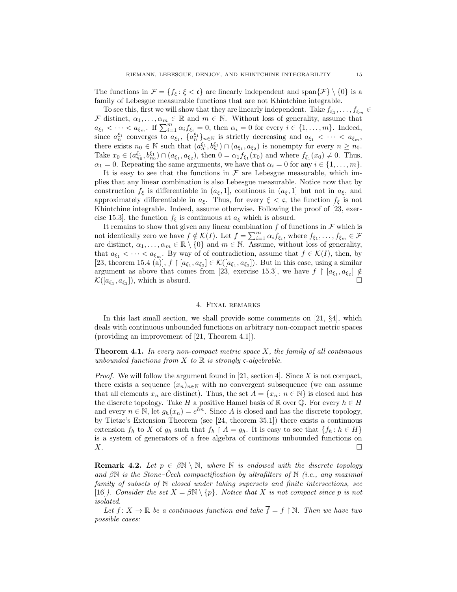The functions in  $\mathcal{F} = \{f_{\xi} : \xi < \mathfrak{c}\}\$ are linearly independent and span $\{\mathcal{F}\}\setminus\{0\}\$ is a family of Lebesgue measurable functions that are not Khintchine integrable.

To see this, first we will show that they are linearly independent. Take  $f_{\xi_1}, \ldots, f_{\xi_m} \in$  $\mathcal F$  distinct,  $\alpha_1,\ldots,\alpha_m\in\mathbb R$  and  $m\in\mathbb N$ . Without loss of generality, assume that  $a_{\xi_1} < \cdots < a_{\xi_m}$ . If  $\sum_{i=1}^m \alpha_i f_{\xi_i} = 0$ , then  $\alpha_i = 0$  for every  $i \in \{1, \ldots, m\}$ . Indeed, since  $a_n^{\xi_1}$  converges to  $a_{\xi_1}, \{a_n^{\xi_1}\}_{n\in\mathbb{N}}$  is strictly decreasing and  $a_{\xi_1} < \cdots < a_{\xi_m}$ , there exists  $n_0 \in \mathbb{N}$  such that  $(a_n^{\xi_1}, b_n^{\xi_1}) \cap (a_{\xi_1}, a_{\xi_2})$  is nonempty for every  $n \geq n_0$ . Take  $x_0 \in (a_{n_0}^{\xi_1}, b_{n_0}^{\xi_1}) \cap (a_{\xi_1}, a_{\xi_2})$ , then  $0 = \alpha_1 f_{\xi_1}(x_0)$  and where  $f_{\xi_1}(x_0) \neq 0$ . Thus,  $\alpha_1 = 0$ . Repeating the same arguments, we have that  $\alpha_i = 0$  for any  $i \in \{1, \ldots, m\}$ .

It is easy to see that the functions in  $\mathcal F$  are Lebesgue measurable, which implies that any linear combination is also Lebesgue measurable. Notice now that by construction  $f_{\xi}$  is differentiable in  $(a_{\xi}, 1]$ , continous in  $(a_{\xi}, 1]$  but not in  $a_{\xi}$ , and approximately differentiable in  $a_{\xi}$ . Thus, for every  $\xi < \mathfrak{c}$ , the function  $f_{\xi}$  is not Khintchine integrable. Indeed, assume otherwise. Following the proof of [23, exercise 15.3], the function  $f_{\xi}$  is continuous at  $a_{\xi}$  which is absurd.

It remains to show that given any linear combination  $f$  of functions in  $\mathcal F$  which is not identically zero we have  $f \notin \mathcal{K}(I)$ . Let  $f = \sum_{i=1}^{m} \alpha_i f_{\xi_i}$ , where  $f_{\xi_1}, \ldots, f_{\xi_m} \in \mathcal{F}$ are distinct,  $\alpha_1, \ldots, \alpha_m \in \mathbb{R} \setminus \{0\}$  and  $m \in \mathbb{N}$ . Assume, without loss of generality, that  $a_{\xi_1} < \cdots < a_{\xi_m}$ . By way of of contradiction, assume that  $f \in \mathcal{K}(I)$ , then, by [23, theorem 15.4 (a)],  $f \restriction [a_{\xi_1}, a_{\xi_2}] \in \mathcal{K}([a_{\xi_1}, a_{\xi_2}])$ . But in this case, using a similar argument as above that comes from [23, exercise 15.3], we have  $f \restriction [a_{\xi_1}, a_{\xi_2}] \notin$  $\mathcal{K}([a_{\xi_1}, a_{\xi_2}]),$  which is absurd.

## 4. Final remarks

In this last small section, we shall provide some comments on [21, §4], which deals with continuous unbounded functions on arbitrary non-compact metric spaces (providing an improvement of [21, Theorem 4.1]).

**Theorem 4.1.** In every non-compact metric space  $X$ , the family of all continuous unbounded functions from X to  $\mathbb R$  is strongly c-algebrable.

*Proof.* We will follow the argument found in [21, section 4]. Since X is not compact, there exists a sequence  $(x_n)_{n\in\mathbb{N}}$  with no convergent subsequence (we can assume that all elements  $x_n$  are distinct). Thus, the set  $A = \{x_n : n \in \mathbb{N}\}\$ is closed and has the discrete topology. Take H a positive Hamel basis of R over Q. For every  $h \in H$ and every  $n \in \mathbb{N}$ , let  $g_h(x_n) = e^{\overline{h}n}$ . Since A is closed and has the discrete topology, by Tietze's Extension Theorem (see [24, theorem 35.1]) there exists a continuous extension  $f_h$  to X of  $g_h$  such that  $f_h \upharpoonright A = g_h$ . It is easy to see that  $\{f_h : h \in H\}$ is a system of generators of a free algebra of continous unbounded functions on  $X.$ 

**Remark 4.2.** Let  $p \in \beta \mathbb{N} \setminus \mathbb{N}$ , where  $\mathbb N$  is endowed with the discrete topology and  $\beta \mathbb{N}$  is the Stone–Cech compactification by ultrafilters of  $\mathbb{N}$  (i.e., any maximal family of subsets of N closed under taking supersets and finite intersections, see [16]). Consider the set  $X = \beta \mathbb{N} \setminus \{p\}$ . Notice that X is not compact since p is not isolated.

Let  $f: X \to \mathbb{R}$  be a continuous function and take  $\overline{f} = f \upharpoonright \mathbb{N}$ . Then we have two possible cases: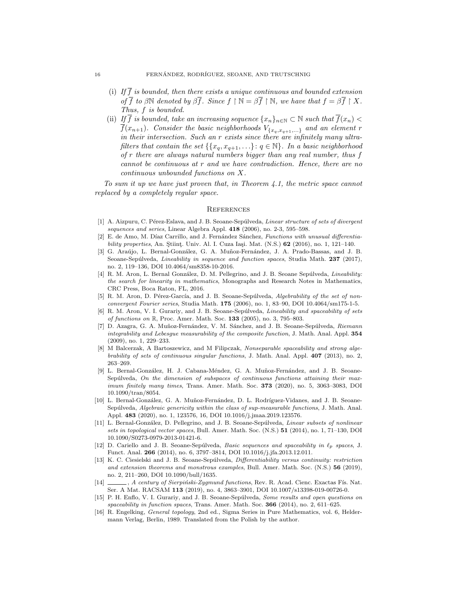- (i) If  $\overline{f}$  is bounded, then there exists a unique continuous and bounded extension of  $\overline{f}$  to  $\beta \mathbb{N}$  denoted by  $\beta \overline{f}$ . Since  $f \upharpoonright \mathbb{N} = \beta \overline{f} \upharpoonright \mathbb{N}$ , we have that  $f = \beta \overline{f} \upharpoonright X$ . Thus, f is bounded.
- (ii) If  $\overline{f}$  is bounded, take an increasing sequence  $\{x_n\}_{n\in\mathbb{N}}\subset\mathbb{N}$  such that  $\overline{f}(x_n)$  $\overline{f}(x_{n+1})$ . Consider the basic neighborhoods  $V_{\{x_q,x_{q+1},...\}}$  and an element r in their intersection. Such an r exists since there are infinitely many ultrafilters that contain the set  $\{\{x_q, x_{q+1}, ...\} : q \in \mathbb{N}\}\$ . In a basic neighborhood of r there are always natural numbers bigger than any real number, thus f cannot be continuous at r and we have contradiction. Hence, there are no continuous unbounded functions on X.

To sum it up we have just proven that, in Theorem 4.1, the metric space cannot replaced by a completely regular space.

#### **REFERENCES**

- [1] A. Aizpuru, C. Pérez-Eslava, and J. B. Seoane-Sepúlveda, Linear structure of sets of divergent sequences and series, Linear Algebra Appl. 418 (2006), no. 2-3, 595–598.
- E. de Amo, M. Díaz Carrillo, and J. Fernández Sánchez, Functions with unusual differentiability properties, An. Stiint. Univ. Al. I. Cuza Iași. Mat. (N.S.)  $62$  (2016), no. 1, 121–140.
- [3] G. Araújo, L. Bernal-González, G. A. Muñoz-Fernández, J. A. Prado-Bassas, and J. B. Seoane-Sepúlveda, Lineability in sequence and function spaces, Studia Math. 237 (2017), no. 2, 119–136, DOI 10.4064/sm8358-10-2016.
- [4] R. M. Aron, L. Bernal González, D. M. Pellegrino, and J. B. Seoane Sepúlveda, Lineability: the search for linearity in mathematics, Monographs and Research Notes in Mathematics, CRC Press, Boca Raton, FL, 2016.
- [5] R. M. Aron, D. Pérez-García, and J. B. Seoane-Sepúlveda, Algebrability of the set of nonconvergent Fourier series, Studia Math. 175 (2006), no. 1, 83–90, DOI 10.4064/sm175-1-5.
- R. M. Aron, V. I. Gurariy, and J. B. Seoane-Sepúlveda, Lineability and spaceability of sets of functions on R, Proc. Amer. Math. Soc. 133 (2005), no. 3, 795-803.
- [7] D. Azagra, G. A. Muñoz-Fernández, V. M. Sánchez, and J. B. Seoane-Sepúlveda, Riemann integrability and Lebesgue measurability of the composite function, J. Math. Anal. Appl. 354 (2009), no. 1, 229–233.
- [8] M Balcerzak, A Bartoszewicz, and M Filipczak, Nonseparable spaceability and strong algebrability of sets of continuous singular functions, J. Math. Anal. Appl. 407 (2013), no. 2, 263–269.
- [9] L. Bernal-González, H. J. Cabana-Méndez, G. A. Muñoz-Fernández, and J. B. Seoane-Sepúlveda, On the dimension of subspaces of continuous functions attaining their maximum finitely many times, Trans. Amer. Math. Soc. 373 (2020), no. 5, 3063–3083, DOI 10.1090/tran/8054.
- [10] L. Bernal-González, G. A. Muñoz-Fernández, D. L. Rodríguez-Vidanes, and J. B. Seoane-Sepúlveda, Algebraic genericity within the class of sup-measurable functions, J. Math. Anal. Appl. 483 (2020), no. 1, 123576, 16, DOI 10.1016/j.jmaa.2019.123576.
- [11] L. Bernal-González, D. Pellegrino, and J. B. Seoane-Sepúlveda, Linear subsets of nonlinear sets in topological vector spaces, Bull. Amer. Math. Soc. (N.S.) 51 (2014), no. 1, 71–130, DOI 10.1090/S0273-0979-2013-01421-6.
- [12] D. Cariello and J. B. Seoane-Sepúlveda, Basic sequences and spaceability in  $\ell_p$  spaces, J. Funct. Anal. 266 (2014), no. 6, 3797–3814, DOI 10.1016/j.jfa.2013.12.011.
- [13] K. C. Ciesielski and J. B. Seoane-Sepúlveda, Differentiability versus continuity: restriction and extension theorems and monstrous examples, Bull. Amer. Math. Soc. (N.S.) 56 (2019), no. 2, 211–260, DOI 10.1090/bull/1635.
- [14] , A century of Sierpiński-Zygmund functions, Rev. R. Acad. Cienc. Exactas Fís. Nat. Ser. A Mat. RACSAM 113 (2019), no. 4, 3863–3901, DOI 10.1007/s13398-019-00726-0.
- [15] P. H. Enflo, V. I. Gurariy, and J. B. Seoane-Sepúlveda, Some results and open questions on spaceability in function spaces, Trans. Amer. Math. Soc. 366 (2014), no. 2, 611-625.
- [16] R. Engelking, General topology, 2nd ed., Sigma Series in Pure Mathematics, vol. 6, Heldermann Verlag, Berlin, 1989. Translated from the Polish by the author.